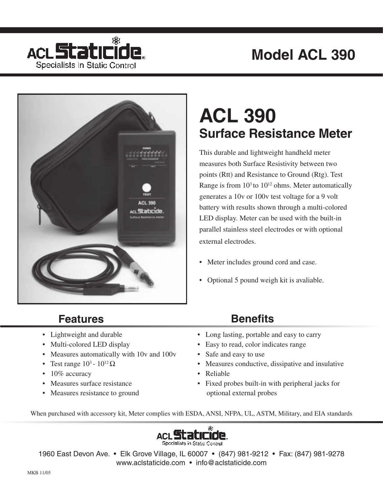## **Model ACL 390**





## **ACL 390 Surface Resistance Meter**

This durable and lightweight handheld meter measures both Surface Resistivity between two points (Rtt) and Resistance to Ground (Rtg). Test Range is from  $10<sup>3</sup>$  to  $10<sup>12</sup>$  ohms. Meter automatically generates a 10v or 100v test voltage for a 9 volt battery with results shown through a multi-colored LED display. Meter can be used with the built-in parallel stainless steel electrodes or with optional external electrodes.

- Meter includes ground cord and case.
- Optional 5 pound weigh kit is avaliable.

### **Features Benefits**

- Lightweight and durable
- Multi-colored LED display
- Measures automatically with 10v and 100v
- Test range  $10^3$   $10^{12} \Omega$
- 10% accuracy
- Measures surface resistance
- Measures resistance to ground

- Long lasting, portable and easy to carry
- Easy to read, color indicates range
- Safe and easy to use
- Measures conductive, dissipative and insulative
- Reliable
- Fixed probes built-in with peripheral jacks for optional external probes

When purchased with accessory kit, Meter complies with ESDA, ANSI, NFPA, UL, ASTM, Military, and EIA standards



1960 East Devon Ave. • Elk Grove Village, IL 60007 • (847) 981-9212 • Fax: (847) 981-9278 www.aclstaticide.com • info@aclstaticide.com